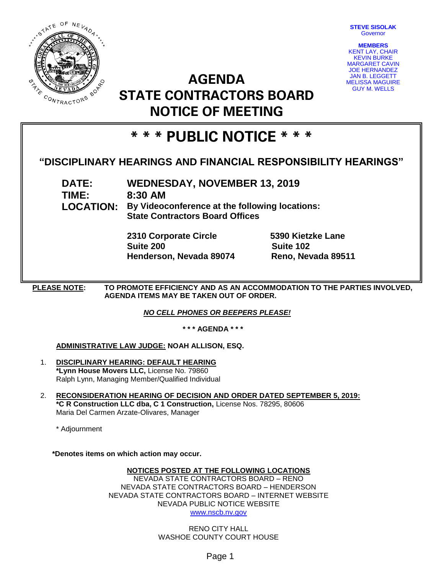

**STEVE SISOLAK Governor** 

**MEMBERS** KENT LAY, CHAIR KEVIN BURKE MARGARET CAVIN JOE HERNANDEZ JAN B. LEGGETT MELISSA MAGUIRE GUY M. WELLS

# **AGENDA STATE CONTRACTORS BOARD NOTICE OF MEETING**

## **\* \* \* PUBLIC NOTICE \* \* \***

### **"DISCIPLINARY HEARINGS AND FINANCIAL RESPONSIBILITY HEARINGS"**

**DATE: WEDNESDAY, NOVEMBER 13, 2019 TIME: 8:30 AM LOCATION: By Videoconference at the following locations: State Contractors Board Offices**

> **2310 Corporate Circle 5390 Kietzke Lane Suite 200 Suite 102 Henderson, Nevada 89074 Reno, Nevada 89511**

**PLEASE NOTE: TO PROMOTE EFFICIENCY AND AS AN ACCOMMODATION TO THE PARTIES INVOLVED, AGENDA ITEMS MAY BE TAKEN OUT OF ORDER.**

*NO CELL PHONES OR BEEPERS PLEASE!* 

**\* \* \* AGENDA \* \* \***

### **ADMINISTRATIVE LAW JUDGE: NOAH ALLISON, ESQ.**

- 1. **DISCIPLINARY HEARING: DEFAULT HEARING \*Lynn House Movers LLC,** License No. 79860 Ralph Lynn, Managing Member/Qualified Individual
- 2. **RECONSIDERATION HEARING OF DECISION AND ORDER DATED SEPTEMBER 5, 2019: \*C R Construction LLC dba, C 1 Construction,** License Nos. 78295, 80606 Maria Del Carmen Arzate-Olivares, Manager

\* Adjournment

**\*Denotes items on which action may occur.**

### **NOTICES POSTED AT THE FOLLOWING LOCATIONS**

NEVADA STATE CONTRACTORS BOARD – RENO NEVADA STATE CONTRACTORS BOARD – HENDERSON NEVADA STATE CONTRACTORS BOARD – INTERNET WEBSITE NEVADA PUBLIC NOTICE WEBSITE [www.nscb.nv.gov](http://www.nscb.state.nv.us/)

> RENO CITY HALL WASHOE COUNTY COURT HOUSE